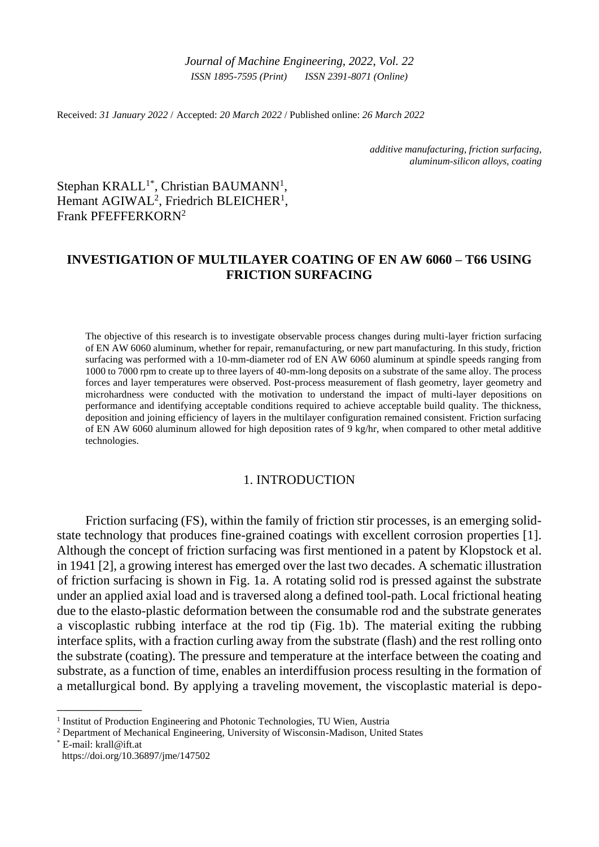*Journal of Machine Engineering, 2022*, *Vol. 22 ISSN 1895-7595 (Print) ISSN 2391-8071 (Online)*

Received: *31 January 2022* / Accepted: *20 March 2022* / Published online: *26 March 2022*

*additive manufacturing, friction surfacing, aluminum-silicon alloys, coating*

Stephan KRALL<sup>1\*</sup>, Christian BAUMANN<sup>1</sup>, Hemant AGIWAL<sup>2</sup>, Friedrich BLEICHER<sup>1</sup>, Frank PFEFFERKORN<sup>2</sup>

# **INVESTIGATION OF MULTILAYER COATING OF EN AW 6060 – T66 USING FRICTION SURFACING**

The objective of this research is to investigate observable process changes during multi-layer friction surfacing of EN AW 6060 aluminum, whether for repair, remanufacturing, or new part manufacturing. In this study, friction surfacing was performed with a 10-mm-diameter rod of EN AW 6060 aluminum at spindle speeds ranging from 1000 to 7000 rpm to create up to three layers of 40-mm-long deposits on a substrate of the same alloy. The process forces and layer temperatures were observed. Post-process measurement of flash geometry, layer geometry and microhardness were conducted with the motivation to understand the impact of multi-layer depositions on performance and identifying acceptable conditions required to achieve acceptable build quality. The thickness, deposition and joining efficiency of layers in the multilayer configuration remained consistent. Friction surfacing of EN AW 6060 aluminum allowed for high deposition rates of 9 kg/hr, when compared to other metal additive technologies.

## 1. INTRODUCTION

Friction surfacing (FS), within the family of friction stir processes, is an emerging solidstate technology that produces fine-grained coatings with excellent corrosion properties [1]. Although the concept of friction surfacing was first mentioned in a patent by Klopstock et al. in 1941 [2], a growing interest has emerged over the last two decades. A schematic illustration of friction surfacing is shown in Fig. 1a. A rotating solid rod is pressed against the substrate under an applied axial load and is traversed along a defined tool-path. Local frictional heating due to the elasto-plastic deformation between the consumable rod and the substrate generates a viscoplastic rubbing interface at the rod tip (Fig. 1b). The material exiting the rubbing interface splits, with a fraction curling away from the substrate (flash) and the rest rolling onto the substrate (coating). The pressure and temperature at the interface between the coating and substrate, as a function of time, enables an interdiffusion process resulting in the formation of a metallurgical bond. By applying a traveling movement, the viscoplastic material is depo-

\_\_\_\_\_\_\_\_\_\_\_\_\_

<sup>&</sup>lt;sup>1</sup> Institut of Production Engineering and Photonic Technologies, TU Wien, Austria

<sup>&</sup>lt;sup>2</sup> Department of Mechanical Engineering, University of Wisconsin-Madison, United States

<sup>\*</sup> E-mail: krall@ift.at https://doi.org/10.36897/jme/147502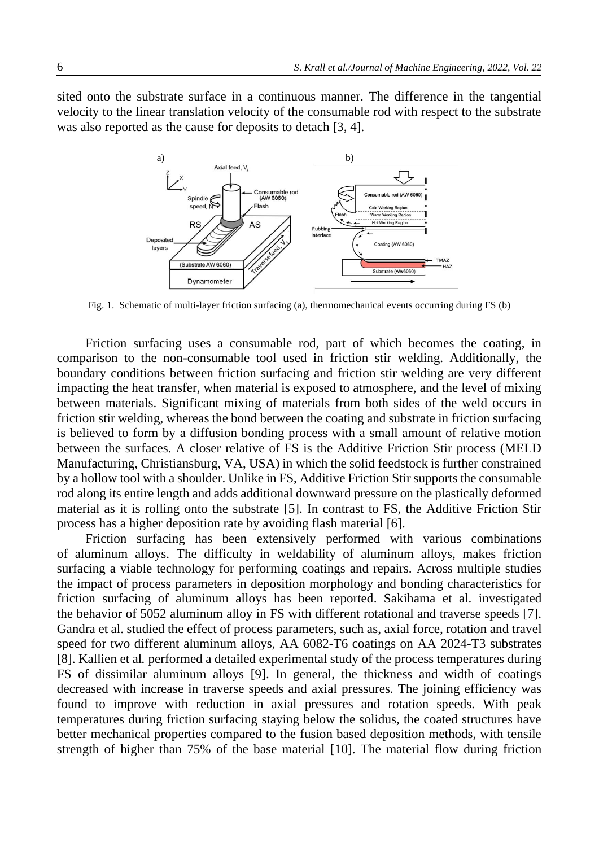sited onto the substrate surface in a continuous manner. The difference in the tangential velocity to the linear translation velocity of the consumable rod with respect to the substrate was also reported as the cause for deposits to detach [3, 4].



Fig. 1. Schematic of multi-layer friction surfacing (a), thermomechanical events occurring during FS (b)

Friction surfacing uses a consumable rod, part of which becomes the coating, in comparison to the non-consumable tool used in friction stir welding. Additionally, the boundary conditions between friction surfacing and friction stir welding are very different impacting the heat transfer, when material is exposed to atmosphere, and the level of mixing between materials. Significant mixing of materials from both sides of the weld occurs in friction stir welding, whereas the bond between the coating and substrate in friction surfacing is believed to form by a diffusion bonding process with a small amount of relative motion between the surfaces. A closer relative of FS is the Additive Friction Stir process (MELD Manufacturing, Christiansburg, VA, USA) in which the solid feedstock is further constrained by a hollow tool with a shoulder. Unlike in FS, Additive Friction Stir supports the consumable rod along its entire length and adds additional downward pressure on the plastically deformed material as it is rolling onto the substrate [5]. In contrast to FS, the Additive Friction Stir process has a higher deposition rate by avoiding flash material [6].

Friction surfacing has been extensively performed with various combinations of aluminum alloys. The difficulty in weldability of aluminum alloys, makes friction surfacing a viable technology for performing coatings and repairs. Across multiple studies the impact of process parameters in deposition morphology and bonding characteristics for friction surfacing of aluminum alloys has been reported. Sakihama et al. investigated the behavior of 5052 aluminum alloy in FS with different rotational and traverse speeds [7]. Gandra et al. studied the effect of process parameters, such as, axial force, rotation and travel speed for two different aluminum alloys, AA 6082-T6 coatings on AA 2024-T3 substrates [8]. Kallien et al*.* performed a detailed experimental study of the process temperatures during FS of dissimilar aluminum alloys [9]. In general, the thickness and width of coatings decreased with increase in traverse speeds and axial pressures. The joining efficiency was found to improve with reduction in axial pressures and rotation speeds. With peak temperatures during friction surfacing staying below the solidus, the coated structures have better mechanical properties compared to the fusion based deposition methods, with tensile strength of higher than 75% of the base material [10]. The material flow during friction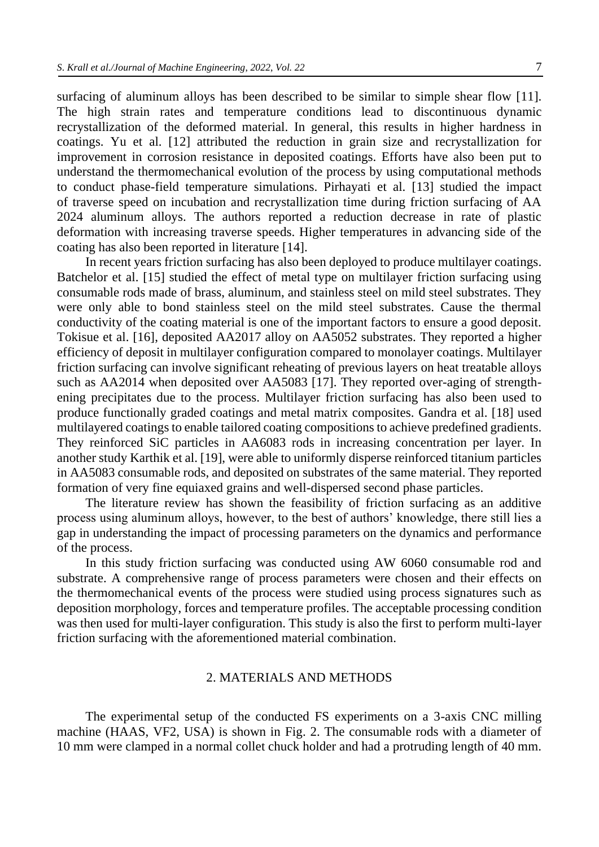surfacing of aluminum alloys has been described to be similar to simple shear flow [11]. The high strain rates and temperature conditions lead to discontinuous dynamic recrystallization of the deformed material. In general, this results in higher hardness in coatings. Yu et al. [12] attributed the reduction in grain size and recrystallization for improvement in corrosion resistance in deposited coatings. Efforts have also been put to understand the thermomechanical evolution of the process by using computational methods to conduct phase-field temperature simulations. Pirhayati et al. [13] studied the impact of traverse speed on incubation and recrystallization time during friction surfacing of AA 2024 aluminum alloys. The authors reported a reduction decrease in rate of plastic deformation with increasing traverse speeds. Higher temperatures in advancing side of the coating has also been reported in literature [14].

In recent years friction surfacing has also been deployed to produce multilayer coatings. Batchelor et al. [15] studied the effect of metal type on multilayer friction surfacing using consumable rods made of brass, aluminum, and stainless steel on mild steel substrates. They were only able to bond stainless steel on the mild steel substrates. Cause the thermal conductivity of the coating material is one of the important factors to ensure a good deposit. Tokisue et al. [16], deposited AA2017 alloy on AA5052 substrates. They reported a higher efficiency of deposit in multilayer configuration compared to monolayer coatings. Multilayer friction surfacing can involve significant reheating of previous layers on heat treatable alloys such as AA2014 when deposited over AA5083 [17]. They reported over-aging of strengthening precipitates due to the process. Multilayer friction surfacing has also been used to produce functionally graded coatings and metal matrix composites. Gandra et al. [18] used multilayered coatings to enable tailored coating compositions to achieve predefined gradients. They reinforced SiC particles in AA6083 rods in increasing concentration per layer. In another study Karthik et al. [19], were able to uniformly disperse reinforced titanium particles in AA5083 consumable rods, and deposited on substrates of the same material. They reported formation of very fine equiaxed grains and well-dispersed second phase particles.

The literature review has shown the feasibility of friction surfacing as an additive process using aluminum alloys, however, to the best of authors' knowledge, there still lies a gap in understanding the impact of processing parameters on the dynamics and performance of the process.

In this study friction surfacing was conducted using AW 6060 consumable rod and substrate. A comprehensive range of process parameters were chosen and their effects on the thermomechanical events of the process were studied using process signatures such as deposition morphology, forces and temperature profiles. The acceptable processing condition was then used for multi-layer configuration. This study is also the first to perform multi-layer friction surfacing with the aforementioned material combination.

### 2. MATERIALS AND METHODS

The experimental setup of the conducted FS experiments on a 3-axis CNC milling machine (HAAS, VF2, USA) is shown in Fig. 2. The consumable rods with a diameter of 10 mm were clamped in a normal collet chuck holder and had a protruding length of 40 mm.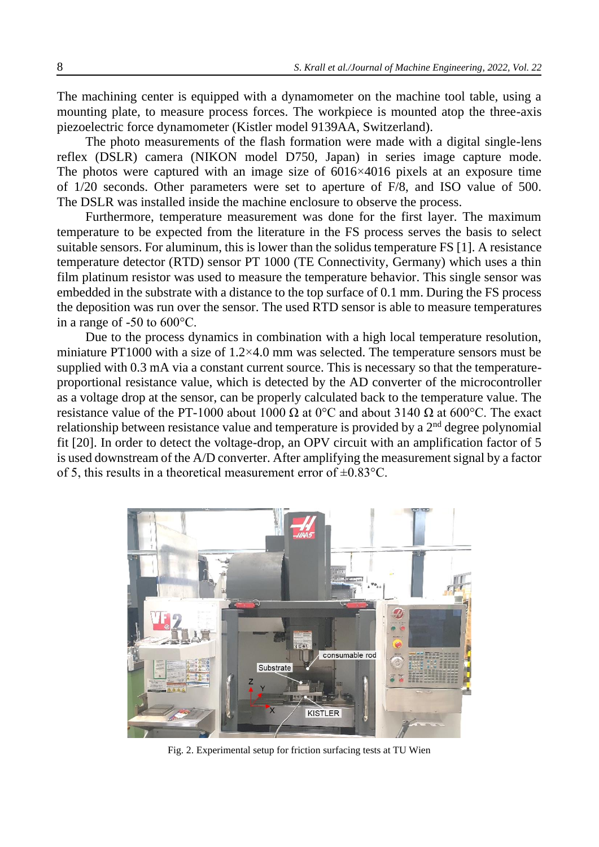The machining center is equipped with a dynamometer on the machine tool table, using a mounting plate, to measure process forces. The workpiece is mounted atop the three-axis piezoelectric force dynamometer (Kistler model 9139AA, Switzerland).

The photo measurements of the flash formation were made with a digital single-lens reflex (DSLR) camera (NIKON model D750, Japan) in series image capture mode. The photos were captured with an image size of 6016×4016 pixels at an exposure time of 1/20 seconds. Other parameters were set to aperture of F/8, and ISO value of 500. The DSLR was installed inside the machine enclosure to observe the process.

Furthermore, temperature measurement was done for the first layer. The maximum temperature to be expected from the literature in the FS process serves the basis to select suitable sensors. For aluminum, this is lower than the solidus temperature FS [1]. A resistance temperature detector (RTD) sensor PT 1000 (TE Connectivity, Germany) which uses a thin film platinum resistor was used to measure the temperature behavior. This single sensor was embedded in the substrate with a distance to the top surface of 0.1 mm. During the FS process the deposition was run over the sensor. The used RTD sensor is able to measure temperatures in a range of -50 to 600°C.

Due to the process dynamics in combination with a high local temperature resolution, miniature PT1000 with a size of 1.2×4.0 mm was selected. The temperature sensors must be supplied with 0.3 mA via a constant current source. This is necessary so that the temperatureproportional resistance value, which is detected by the AD converter of the microcontroller as a voltage drop at the sensor, can be properly calculated back to the temperature value. The resistance value of the PT-1000 about 1000 Ω at 0°C and about 3140 Ω at 600°C. The exact relationship between resistance value and temperature is provided by a  $2<sup>nd</sup>$  degree polynomial fit [20]. In order to detect the voltage-drop, an OPV circuit with an amplification factor of 5 is used downstream of the A/D converter. After amplifying the measurement signal by a factor of 5, this results in a theoretical measurement error of  $\pm 0.83$ °C.



Fig. 2. Experimental setup for friction surfacing tests at TU Wien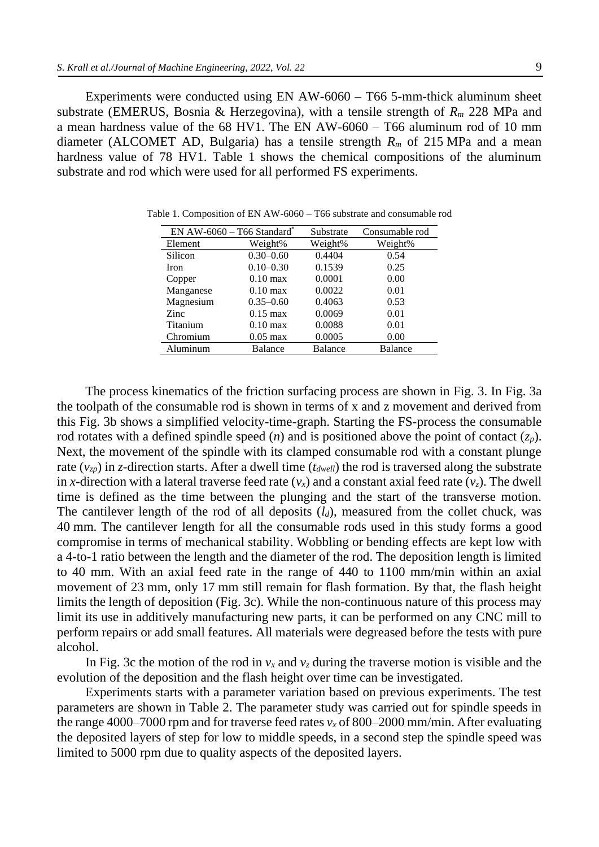Experiments were conducted using EN AW-6060 – T66 5-mm-thick aluminum sheet substrate (EMERUS, Bosnia & Herzegovina), with a tensile strength of *R<sup>m</sup>* 228 MPa and a mean hardness value of the 68 HV1. The EN AW-6060 – T66 aluminum rod of 10 mm diameter (ALCOMET AD, Bulgaria) has a tensile strength *R<sup>m</sup>* of 215 MPa and a mean hardness value of 78 HV1. Table 1 shows the chemical compositions of the aluminum substrate and rod which were used for all performed FS experiments.

| EN AW-6060 - T66 Standard* |                    | Substrate          | Consumable rod |
|----------------------------|--------------------|--------------------|----------------|
| Element                    | Weight%            | Weight%<br>Weight% |                |
| Silicon                    | $0.30 - 0.60$      | 0.4404             | 0.54           |
| Iron                       | $0.10 - 0.30$      | 0.1539             | 0.25           |
| Copper                     | $0.10 \text{ max}$ | 0.0001             | 0.00           |
| Manganese                  | $0.10 \text{ max}$ | 0.0022             | 0.01           |
| Magnesium                  | $0.35 - 0.60$      | 0.4063             | 0.53           |
| Zinc                       | $0.15 \text{ max}$ | 0.0069             | 0.01           |
| Titanium                   | $0.10 \text{ max}$ | 0.0088             | 0.01           |
| Chromium                   | $0.05$ max         | 0.0005             | 0.00           |
| Aluminum                   | <b>Balance</b>     | <b>Balance</b>     | <b>Balance</b> |

Table 1. Composition of EN AW-6060 – T66 substrate and consumable rod

The process kinematics of the friction surfacing process are shown in Fig. 3. In Fig. 3a the toolpath of the consumable rod is shown in terms of x and z movement and derived from this Fig. 3b shows a simplified velocity-time-graph. Starting the FS-process the consumable rod rotates with a defined spindle speed (*n*) and is positioned above the point of contact  $(z_p)$ . Next, the movement of the spindle with its clamped consumable rod with a constant plunge rate  $(v_{zp})$  in *z*-direction starts. After a dwell time  $(t_{dwell})$  the rod is traversed along the substrate in *x*-direction with a lateral traverse feed rate  $(v_x)$  and a constant axial feed rate  $(v_z)$ . The dwell time is defined as the time between the plunging and the start of the transverse motion. The cantilever length of the rod of all deposits  $(l_d)$ , measured from the collet chuck, was 40 mm. The cantilever length for all the consumable rods used in this study forms a good compromise in terms of mechanical stability. Wobbling or bending effects are kept low with a 4-to-1 ratio between the length and the diameter of the rod. The deposition length is limited to 40 mm. With an axial feed rate in the range of 440 to 1100 mm/min within an axial movement of 23 mm, only 17 mm still remain for flash formation. By that, the flash height limits the length of deposition (Fig. 3c). While the non-continuous nature of this process may limit its use in additively manufacturing new parts, it can be performed on any CNC mill to perform repairs or add small features. All materials were degreased before the tests with pure alcohol.

In Fig. 3c the motion of the rod in  $v_x$  and  $v_z$  during the traverse motion is visible and the evolution of the deposition and the flash height over time can be investigated.

Experiments starts with a parameter variation based on previous experiments. The test parameters are shown in Table 2. The parameter study was carried out for spindle speeds in the range 4000–7000 rpm and for traverse feed rates  $v_x$  of 800–2000 mm/min. After evaluating the deposited layers of step for low to middle speeds, in a second step the spindle speed was limited to 5000 rpm due to quality aspects of the deposited layers.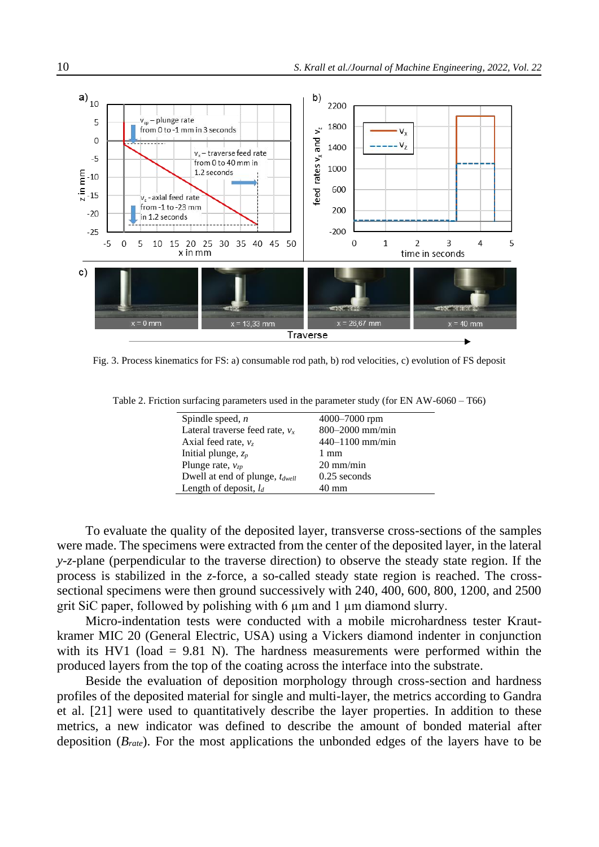

Fig. 3. Process kinematics for FS: a) consumable rod path, b) rod velocities, c) evolution of FS deposit

Table 2. Friction surfacing parameters used in the parameter study (for EN AW-6060 – T66)

| Spindle speed, $n$                  | 4000-7000 rpm       |  |
|-------------------------------------|---------------------|--|
| Lateral traverse feed rate, $v_x$   | 800-2000 mm/min     |  |
| Axial feed rate, $v_z$              | $440 - 1100$ mm/min |  |
| Initial plunge, $z_p$               | $1 \text{ mm}$      |  |
| Plunge rate, $v_{z}$                | $20 \text{ mm/min}$ |  |
| Dwell at end of plunge, $t_{dwell}$ | $0.25$ seconds      |  |
| Length of deposit, $l_d$            | 40 mm               |  |
|                                     |                     |  |

To evaluate the quality of the deposited layer, transverse cross-sections of the samples were made. The specimens were extracted from the center of the deposited layer, in the lateral *y-z*-plane (perpendicular to the traverse direction) to observe the steady state region. If the process is stabilized in the *z*-force, a so-called steady state region is reached. The crosssectional specimens were then ground successively with 240, 400, 600, 800, 1200, and 2500 grit SiC paper, followed by polishing with 6 µm and 1 µm diamond slurry.

Micro-indentation tests were conducted with a mobile microhardness tester Krautkramer MIC 20 (General Electric, USA) using a Vickers diamond indenter in conjunction with its HV1 (load  $= 9.81$  N). The hardness measurements were performed within the produced layers from the top of the coating across the interface into the substrate.

Beside the evaluation of deposition morphology through cross-section and hardness profiles of the deposited material for single and multi-layer, the metrics according to Gandra et al. [21] were used to quantitatively describe the layer properties. In addition to these metrics, a new indicator was defined to describe the amount of bonded material after deposition (*Brate*). For the most applications the unbonded edges of the layers have to be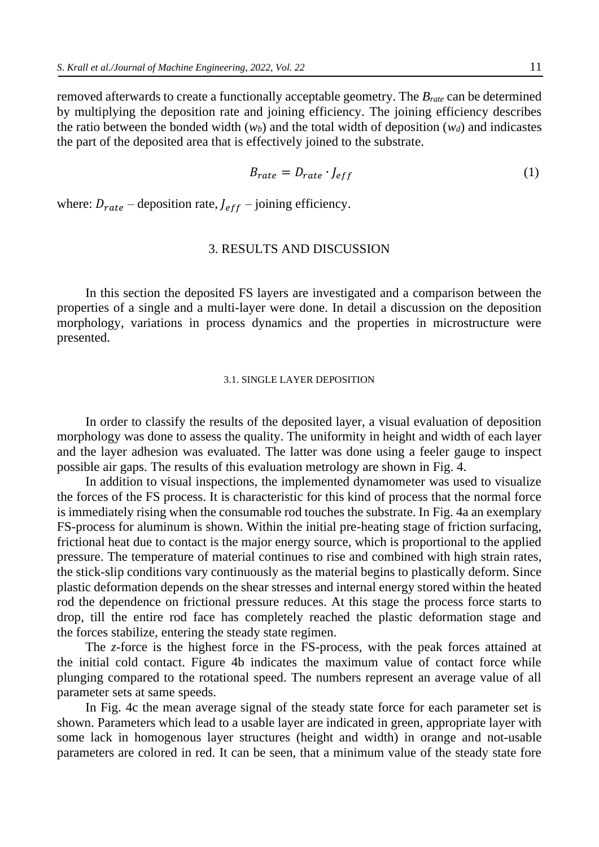removed afterwards to create a functionally acceptable geometry. The *Brate* can be determined by multiplying the deposition rate and joining efficiency. The joining efficiency describes the ratio between the bonded width  $(w_b)$  and the total width of deposition  $(w_d)$  and indicastes the part of the deposited area that is effectively joined to the substrate.

$$
B_{rate} = D_{rate} \cdot J_{eff} \tag{1}
$$

where:  $D_{rate}$  – deposition rate,  $J_{eff}$  – joining efficiency.

# 3. RESULTS AND DISCUSSION

In this section the deposited FS layers are investigated and a comparison between the properties of a single and a multi-layer were done. In detail a discussion on the deposition morphology, variations in process dynamics and the properties in microstructure were presented.

### 3.1. SINGLE LAYER DEPOSITION

In order to classify the results of the deposited layer, a visual evaluation of deposition morphology was done to assess the quality. The uniformity in height and width of each layer and the layer adhesion was evaluated. The latter was done using a feeler gauge to inspect possible air gaps. The results of this evaluation metrology are shown in Fig. 4.

In addition to visual inspections, the implemented dynamometer was used to visualize the forces of the FS process. It is characteristic for this kind of process that the normal force is immediately rising when the consumable rod touches the substrate. In Fig. 4a an exemplary FS-process for aluminum is shown. Within the initial pre-heating stage of friction surfacing, frictional heat due to contact is the major energy source, which is proportional to the applied pressure. The temperature of material continues to rise and combined with high strain rates, the stick-slip conditions vary continuously as the material begins to plastically deform. Since plastic deformation depends on the shear stresses and internal energy stored within the heated rod the dependence on frictional pressure reduces. At this stage the process force starts to drop, till the entire rod face has completely reached the plastic deformation stage and the forces stabilize, entering the steady state regimen.

The *z*-force is the highest force in the FS-process, with the peak forces attained at the initial cold contact. Figure 4b indicates the maximum value of contact force while plunging compared to the rotational speed. The numbers represent an average value of all parameter sets at same speeds.

In Fig. 4c the mean average signal of the steady state force for each parameter set is shown. Parameters which lead to a usable layer are indicated in green, appropriate layer with some lack in homogenous layer structures (height and width) in orange and not-usable parameters are colored in red. It can be seen, that a minimum value of the steady state fore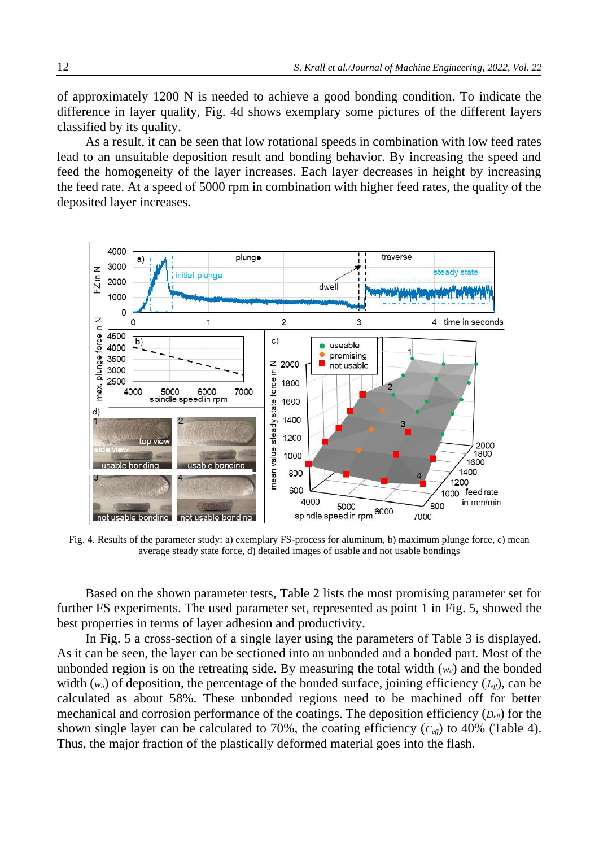of approximately 1200 N is needed to achieve a good bonding condition. To indicate the difference in layer quality, Fig. 4d shows exemplary some pictures of the different layers classified by its quality.

As a result, it can be seen that low rotational speeds in combination with low feed rates lead to an unsuitable deposition result and bonding behavior. By increasing the speed and feed the homogeneity of the layer increases. Each layer decreases in height by increasing the feed rate. At a speed of 5000 rpm in combination with higher feed rates, the quality of the deposited layer increases.



Fig. 4. Results of the parameter study: a) exemplary FS-process for aluminum, b) maximum plunge force, c) mean average steady state force, d) detailed images of usable and not usable bondings

Based on the shown parameter tests, Table 2 lists the most promising parameter set for further FS experiments. The used parameter set, represented as point 1 in Fig. 5, showed the best properties in terms of layer adhesion and productivity.

In Fig. 5 a cross-section of a single layer using the parameters of Table 3 is displayed. As it can be seen, the layer can be sectioned into an unbonded and a bonded part. Most of the unbonded region is on the retreating side. By measuring the total width  $(w_d)$  and the bonded width  $(w_b)$  of deposition, the percentage of the bonded surface, joining efficiency  $(J_{\text{eff}})$ , can be calculated as about 58%. These unbonded regions need to be machined off for better mechanical and corrosion performance of the coatings. The deposition efficiency (*Deff*) for the shown single layer can be calculated to 70%, the coating efficiency  $(C_{\text{eff}})$  to 40% (Table 4). Thus, the major fraction of the plastically deformed material goes into the flash.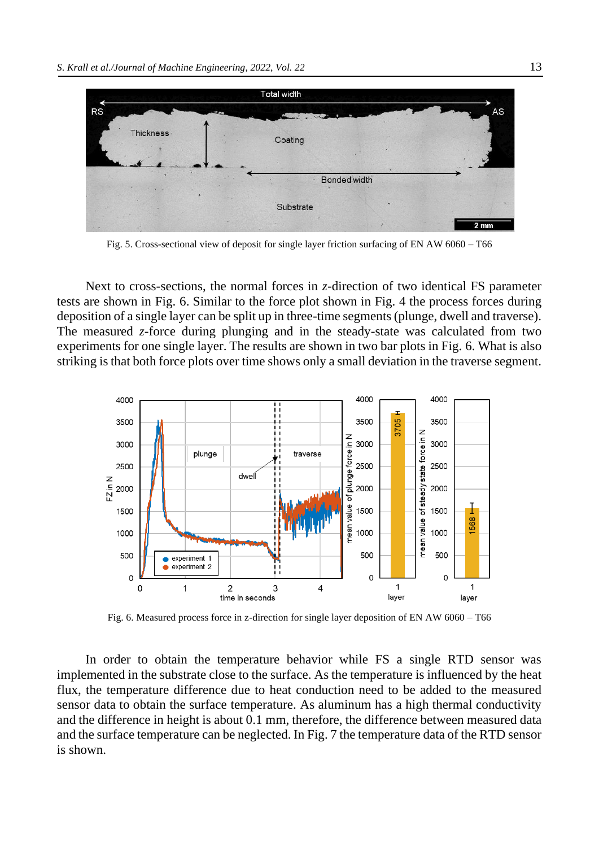

Fig. 5. Cross-sectional view of deposit for single layer friction surfacing of EN AW 6060 – T66

Next to cross-sections, the normal forces in *z*-direction of two identical FS parameter tests are shown in Fig. 6. Similar to the force plot shown in Fig. 4 the process forces during deposition of a single layer can be split up in three-time segments (plunge, dwell and traverse). The measured *z*-force during plunging and in the steady-state was calculated from two experiments for one single layer. The results are shown in two bar plots in Fig. 6. What is also striking is that both force plots over time shows only a small deviation in the traverse segment.



Fig. 6. Measured process force in z-direction for single layer deposition of EN AW 6060 – T66

In order to obtain the temperature behavior while FS a single RTD sensor was implemented in the substrate close to the surface. As the temperature is influenced by the heat flux, the temperature difference due to heat conduction need to be added to the measured sensor data to obtain the surface temperature. As aluminum has a high thermal conductivity and the difference in height is about 0.1 mm, therefore, the difference between measured data and the surface temperature can be neglected. In Fig. 7 the temperature data of the RTD sensor is shown.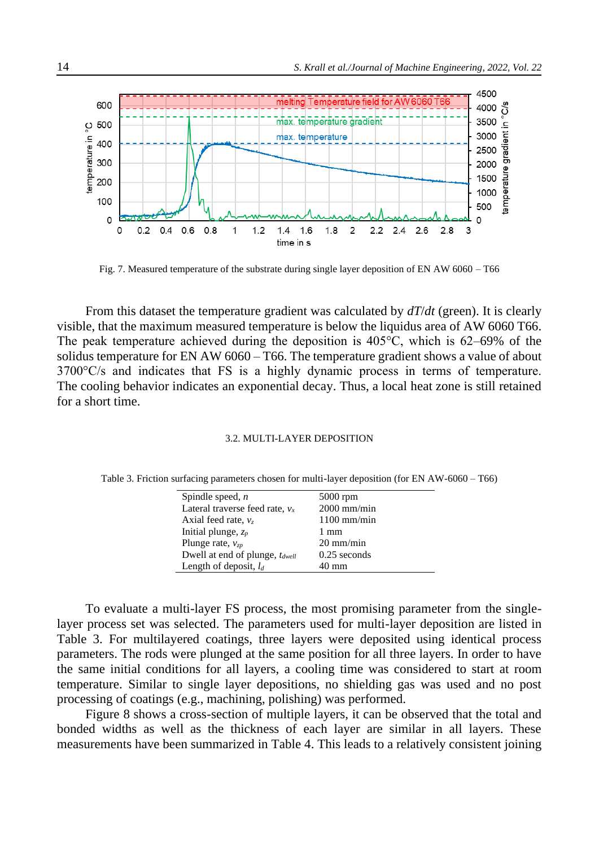

Fig. 7. Measured temperature of the substrate during single layer deposition of EN AW 6060 – T66

From this dataset the temperature gradient was calculated by *dT*/*dt* (green). It is clearly visible, that the maximum measured temperature is below the liquidus area of AW 6060 T66. The peak temperature achieved during the deposition is 405°C, which is 62–69% of the solidus temperature for EN AW 6060 – T66. The temperature gradient shows a value of about 3700°C/s and indicates that FS is a highly dynamic process in terms of temperature. The cooling behavior indicates an exponential decay. Thus, a local heat zone is still retained for a short time.

### 3.2. MULTI-LAYER DEPOSITION

Table 3. Friction surfacing parameters chosen for multi-layer deposition (for EN AW-6060 – T66)

| Spindle speed, $n$                         | $5000$ rpm          |  |  |
|--------------------------------------------|---------------------|--|--|
| Lateral traverse feed rate, $v_x$          | $2000$ mm/min       |  |  |
| Axial feed rate, $vz$                      | $1100$ mm/min       |  |  |
| Initial plunge, $z_p$                      | $1 \text{ mm}$      |  |  |
| Plunge rate, $v_{zv}$                      | $20 \text{ mm/min}$ |  |  |
| Dwell at end of plunge, t <sub>dwell</sub> | $0.25$ seconds      |  |  |
| Length of deposit, $l_d$                   | 40 mm               |  |  |

To evaluate a multi-layer FS process, the most promising parameter from the singlelayer process set was selected. The parameters used for multi-layer deposition are listed in Table 3. For multilayered coatings, three layers were deposited using identical process parameters. The rods were plunged at the same position for all three layers. In order to have the same initial conditions for all layers, a cooling time was considered to start at room temperature. Similar to single layer depositions, no shielding gas was used and no post processing of coatings (e.g., machining, polishing) was performed.

Figure 8 shows a cross-section of multiple layers, it can be observed that the total and bonded widths as well as the thickness of each layer are similar in all layers. These measurements have been summarized in Table 4. This leads to a relatively consistent joining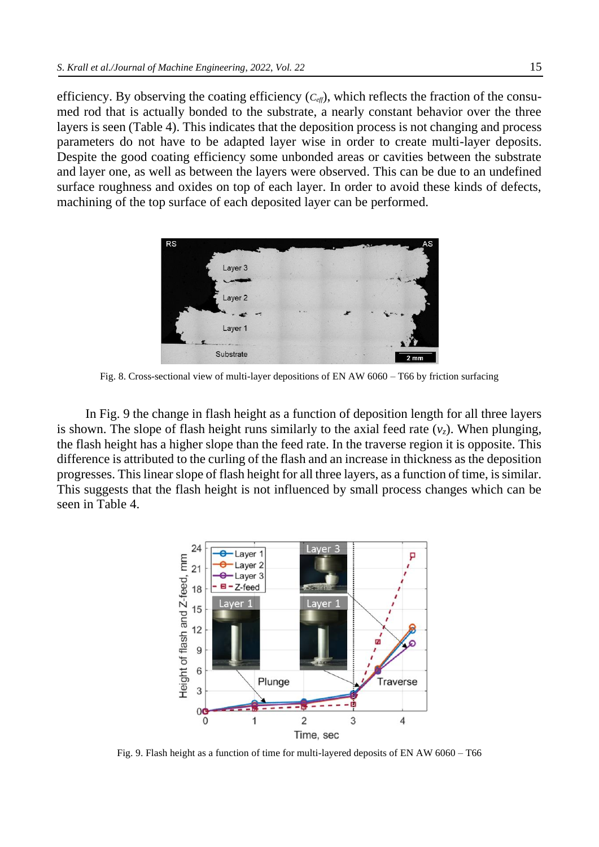efficiency. By observing the coating efficiency  $(C_{\text{eff}})$ , which reflects the fraction of the consumed rod that is actually bonded to the substrate, a nearly constant behavior over the three layers is seen (Table 4). This indicates that the deposition process is not changing and process parameters do not have to be adapted layer wise in order to create multi-layer deposits. Despite the good coating efficiency some unbonded areas or cavities between the substrate and layer one, as well as between the layers were observed. This can be due to an undefined surface roughness and oxides on top of each layer. In order to avoid these kinds of defects, machining of the top surface of each deposited layer can be performed.



Fig. 8. Cross-sectional view of multi-layer depositions of EN AW 6060 – T66 by friction surfacing

In Fig. 9 the change in flash height as a function of deposition length for all three layers is shown. The slope of flash height runs similarly to the axial feed rate  $(v<sub>z</sub>)$ . When plunging, the flash height has a higher slope than the feed rate. In the traverse region it is opposite. This difference is attributed to the curling of the flash and an increase in thickness as the deposition progresses. This linear slope of flash height for all three layers, as a function of time, is similar. This suggests that the flash height is not influenced by small process changes which can be seen in Table 4.



Fig. 9. Flash height as a function of time for multi-layered deposits of EN AW 6060 – T66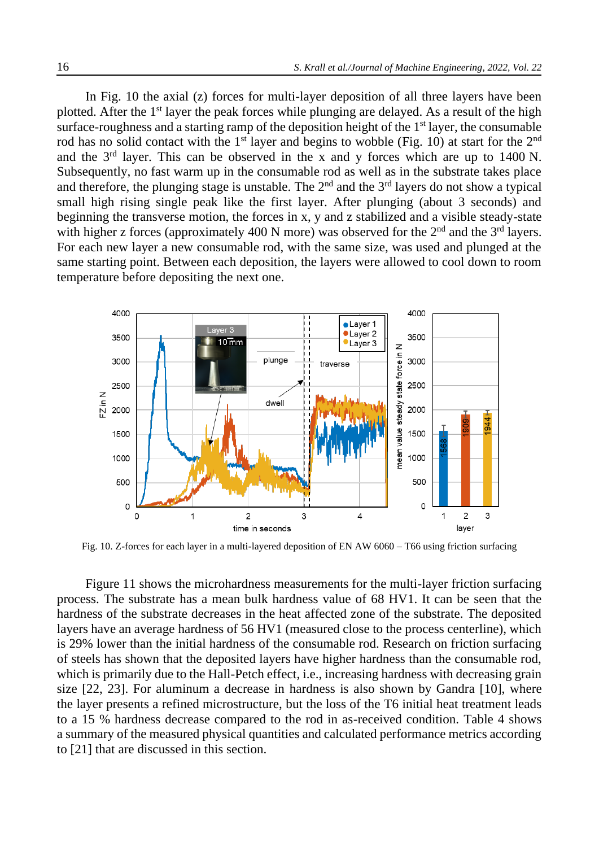In Fig. 10 the axial (z) forces for multi-layer deposition of all three layers have been plotted. After the 1st layer the peak forces while plunging are delayed. As a result of the high surface-roughness and a starting ramp of the deposition height of the 1<sup>st</sup> layer, the consumable rod has no solid contact with the 1<sup>st</sup> layer and begins to wobble (Fig. 10) at start for the 2<sup>nd</sup> and the  $3<sup>rd</sup>$  layer. This can be observed in the x and y forces which are up to 1400 N. Subsequently, no fast warm up in the consumable rod as well as in the substrate takes place and therefore, the plunging stage is unstable. The  $2<sup>nd</sup>$  and the  $3<sup>rd</sup>$  layers do not show a typical small high rising single peak like the first layer. After plunging (about 3 seconds) and beginning the transverse motion, the forces in x, y and z stabilized and a visible steady-state with higher z forces (approximately 400 N more) was observed for the  $2<sup>nd</sup>$  and the  $3<sup>rd</sup>$  layers. For each new layer a new consumable rod, with the same size, was used and plunged at the same starting point. Between each deposition, the layers were allowed to cool down to room temperature before depositing the next one.



Fig. 10. Z-forces for each layer in a multi-layered deposition of EN AW 6060 – T66 using friction surfacing

Figure 11 shows the microhardness measurements for the multi-layer friction surfacing process. The substrate has a mean bulk hardness value of 68 HV1. It can be seen that the hardness of the substrate decreases in the heat affected zone of the substrate. The deposited layers have an average hardness of 56 HV1 (measured close to the process centerline), which is 29% lower than the initial hardness of the consumable rod. Research on friction surfacing of steels has shown that the deposited layers have higher hardness than the consumable rod, which is primarily due to the Hall-Petch effect, *i.e.*, increasing hardness with decreasing grain size [22, 23]. For aluminum a decrease in hardness is also shown by Gandra [10], where the layer presents a refined microstructure, but the loss of the T6 initial heat treatment leads to a 15 % hardness decrease compared to the rod in as-received condition. Table 4 shows a summary of the measured physical quantities and calculated performance metrics according to [21] that are discussed in this section.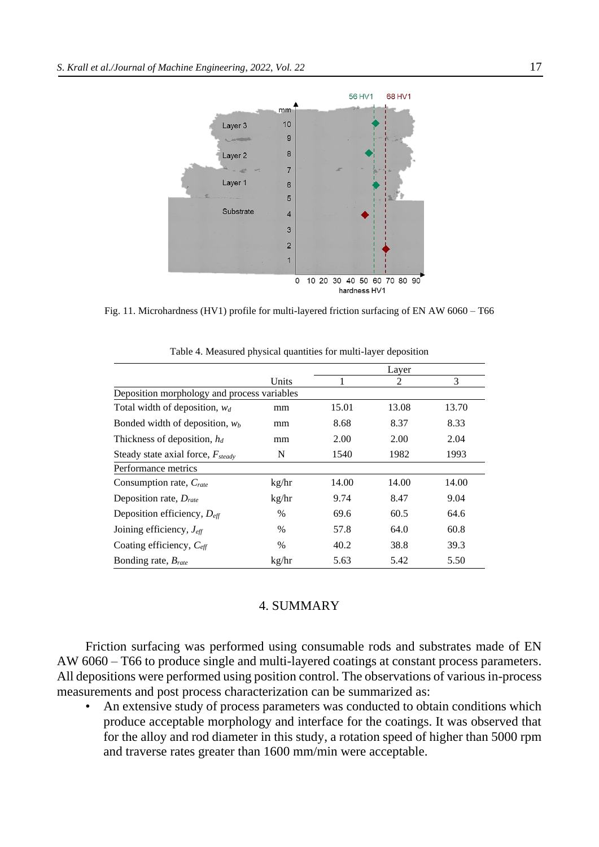

Fig. 11. Microhardness (HV1) profile for multi-layered friction surfacing of EN AW 6060 – T66

|                                             |       | Layer |                             |       |  |
|---------------------------------------------|-------|-------|-----------------------------|-------|--|
|                                             | Units |       | $\mathcal{D}_{\mathcal{L}}$ | 3     |  |
| Deposition morphology and process variables |       |       |                             |       |  |
| Total width of deposition, $w_d$            | mm    | 15.01 | 13.08                       | 13.70 |  |
| Bonded width of deposition, $w_b$           | mm    | 8.68  | 8.37                        | 8.33  |  |
| Thickness of deposition, $h_d$              | mm    | 2.00  | 2.00                        | 2.04  |  |
| Steady state axial force, $F_{steady}$      | N     | 1540  | 1982                        | 1993  |  |
| Performance metrics                         |       |       |                             |       |  |
| Consumption rate, Crate                     | kg/hr | 14.00 | 14.00                       | 14.00 |  |
| Deposition rate, $D_{\text{rate}}$          | kg/hr | 9.74  | 8.47                        | 9.04  |  |
| Deposition efficiency, $D_{\text{eff}}$     | $\%$  | 69.6  | 60.5                        | 64.6  |  |
| Joining efficiency, $J_{\text{eff}}$        | $\%$  | 57.8  | 64.0                        | 60.8  |  |
| Coating efficiency, $C_{\text{eff}}$        | $\%$  | 40.2  | 38.8                        | 39.3  |  |
| Bonding rate, $Brate$                       | kg/hr | 5.63  | 5.42                        | 5.50  |  |

Table 4. Measured physical quantities for multi-layer deposition

# 4. SUMMARY

Friction surfacing was performed using consumable rods and substrates made of EN AW 6060 – T66 to produce single and multi-layered coatings at constant process parameters. All depositions were performed using position control. The observations of various in-process measurements and post process characterization can be summarized as:

An extensive study of process parameters was conducted to obtain conditions which produce acceptable morphology and interface for the coatings. It was observed that for the alloy and rod diameter in this study, a rotation speed of higher than 5000 rpm and traverse rates greater than 1600 mm/min were acceptable.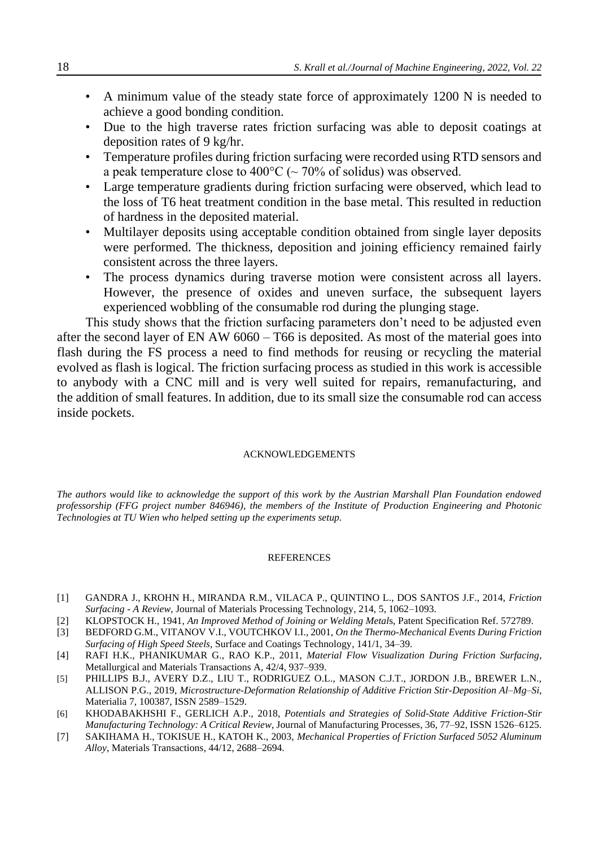- A minimum value of the steady state force of approximately 1200 N is needed to achieve a good bonding condition.
- Due to the high traverse rates friction surfacing was able to deposit coatings at deposition rates of 9 kg/hr.
- Temperature profiles during friction surfacing were recorded using RTD sensors and a peak temperature close to 400 $\degree$ C ( $\sim$  70% of solidus) was observed.
- Large temperature gradients during friction surfacing were observed, which lead to the loss of T6 heat treatment condition in the base metal. This resulted in reduction of hardness in the deposited material.
- Multilayer deposits using acceptable condition obtained from single layer deposits were performed. The thickness, deposition and joining efficiency remained fairly consistent across the three layers.
- The process dynamics during traverse motion were consistent across all layers. However, the presence of oxides and uneven surface, the subsequent layers experienced wobbling of the consumable rod during the plunging stage.

This study shows that the friction surfacing parameters don't need to be adjusted even after the second layer of EN AW 6060 – T66 is deposited. As most of the material goes into flash during the FS process a need to find methods for reusing or recycling the material evolved as flash is logical. The friction surfacing process as studied in this work is accessible to anybody with a CNC mill and is very well suited for repairs, remanufacturing, and the addition of small features. In addition, due to its small size the consumable rod can access inside pockets.

#### ACKNOWLEDGEMENTS

*The authors would like to acknowledge the support of this work by the Austrian Marshall Plan Foundation endowed professorship (FFG project number 846946), the members of the Institute of Production Engineering and Photonic Technologies at TU Wien who helped setting up the experiments setup.*

### **REFERENCES**

- [1] GANDRA J., KROHN H., MIRANDA R.M., VILACA P., QUINTINO L., DOS SANTOS J.F., 2014, *Friction Surfacing - A Review*, Journal of Materials Processing Technology, 214, 5, 1062–1093.
- [2] KLOPSTOCK H., 1941, *An Improved Method of Joining or Welding Metal*s, Patent Specification Ref. 572789.
- [3] BEDFORD G.M., VITANOV V.I., VOUTCHKOV I.I., 2001, *On the Thermo-Mechanical Events During Friction Surfacing of High Speed Steels*, Surface and Coatings Technology, 141/1, 34–39.
- [4] RAFI H.K., PHANIKUMAR G., RAO K.P., 2011, *Material Flow Visualization During Friction Surfacing*, Metallurgical and Materials Transactions A, 42/4, 937–939.
- [5] PHILLIPS B.J., AVERY D.Z., LIU T., RODRIGUEZ O.L., MASON C.J.T., JORDON J.B., BREWER L.N., ALLISON P.G., 2019, *Microstructure-Deformation Relationship of Additive Friction Stir-Deposition Al–Mg–Si*, Materialia 7, 100387, ISSN 2589–1529.
- [6] KHODABAKHSHI F., GERLICH A.P., 2018, *Potentials and Strategies of Solid-State Additive Friction-Stir Manufacturing Technology: A Critical Review*, Journal of Manufacturing Processes, 36, 77–92, ISSN 1526–6125.
- [7] SAKIHAMA H., TOKISUE H., KATOH K., 2003, *Mechanical Properties of Friction Surfaced 5052 Aluminum Alloy*, Materials Transactions, 44/12, 2688–2694.